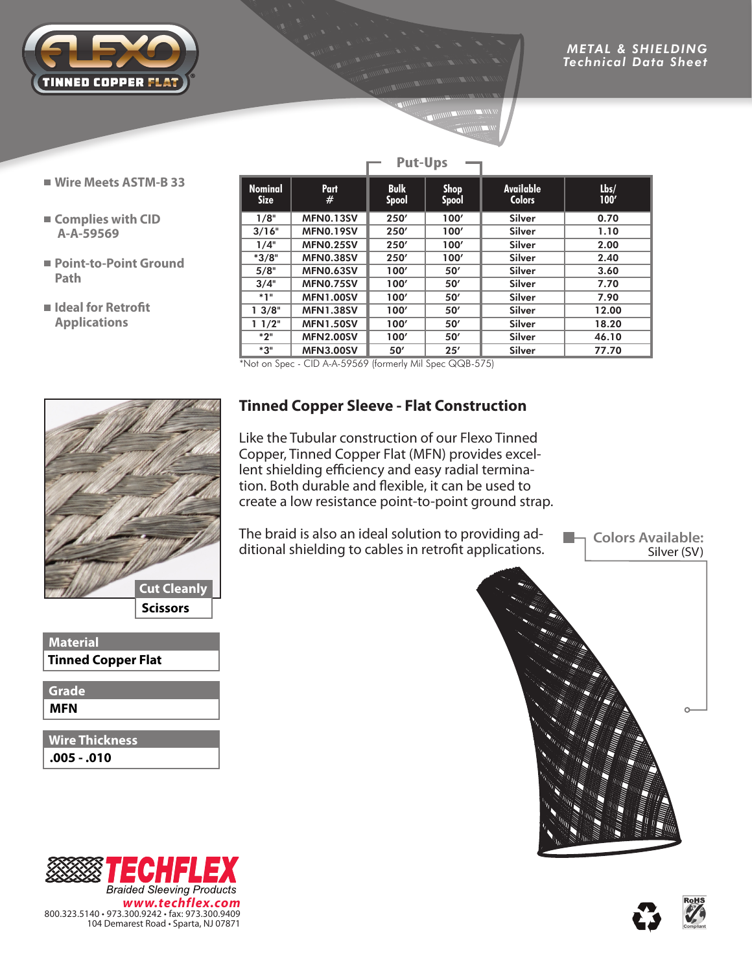

- **Wire Meets ASTM-B 33**
- **Complies with CID A-A-59569**
- **Point-to-Point Ground Path**
- **Ideal for Retrofit Applications**

|  |                                                                         | i ul Ups         |                             |                             |                                   |              |  |
|--|-------------------------------------------------------------------------|------------------|-----------------------------|-----------------------------|-----------------------------------|--------------|--|
|  | <b>Nominal</b><br><b>Size</b>                                           | Part<br>#        | <b>Bulk</b><br><b>Spool</b> | <b>Shop</b><br><b>Spool</b> | <b>Available</b><br><b>Colors</b> | Lbs/<br>100' |  |
|  | 1/8"                                                                    | <b>MFN0.13SV</b> | 250'                        | 100'                        | <b>Silver</b>                     | 0.70         |  |
|  | 3/16"                                                                   | <b>MFN0.19SV</b> | 250'                        | 100'                        | <b>Silver</b>                     | 1.10         |  |
|  | 1/4"                                                                    | <b>MFN0.25SV</b> | 250'                        | 100'                        | <b>Silver</b>                     | 2.00         |  |
|  | $*3/8"$                                                                 | <b>MFN0.38SV</b> | 250'                        | 100'                        | <b>Silver</b>                     | 2.40         |  |
|  | 5/8"                                                                    | <b>MFN0.63SV</b> | 100'                        | 50'                         | <b>Silver</b>                     | 3.60         |  |
|  | 3/4"                                                                    | <b>MFN0.75SV</b> | 100'                        | 50'                         | Silver                            | 7.70         |  |
|  | $*1"$                                                                   | <b>MFN1.00SV</b> | 100'                        | 50'                         | <b>Silver</b>                     | 7.90         |  |
|  | 13/8"                                                                   | <b>MFN1.38SV</b> | 100'                        | 50'                         | <b>Silver</b>                     | 12.00        |  |
|  | 11/2"                                                                   | <b>MFN1.50SV</b> | 100'                        | 50'                         | <b>Silver</b>                     | 18.20        |  |
|  | $*2"$                                                                   | <b>MFN2.00SV</b> | 100'                        | 50'                         | <b>Silver</b>                     | 46.10        |  |
|  | *3"                                                                     | <b>MFN3.00SV</b> | 50'                         | 25'                         | <b>Silver</b>                     | 77.70        |  |
|  | $CID \land \land EOLLO$ (formarly Mil Case $OOD E7EN$<br>$*$ Natan Casa |                  |                             |                             |                                   |              |  |

**Put-Ups**

 $^{\prime}$ Not on Spec - CID A-A-59569 (formerly Mil Spec QQB-575)



**Material Tinned Copper Flat**

**MFN Grade**

**.005 - .010 Wire Thickness**

※1

*www.techflex.com*

51 **Braided Sleeving Products** 

800.323.5140 • 973.300.9242 • fax: 973.300.9409 104 Demarest Road • Sparta, NJ 07871

EC

## **Tinned Copper Sleeve - Flat Construction**

Like the Tubular construction of our Flexo Tinned Copper, Tinned Copper Flat (MFN) provides excellent shielding efficiency and easy radial termination. Both durable and flexible, it can be used to create a low resistance point-to-point ground strap.

The braid is also an ideal solution to providing additional shielding to cables in retrofit applications.

**Colors Available:** Silver (SV)